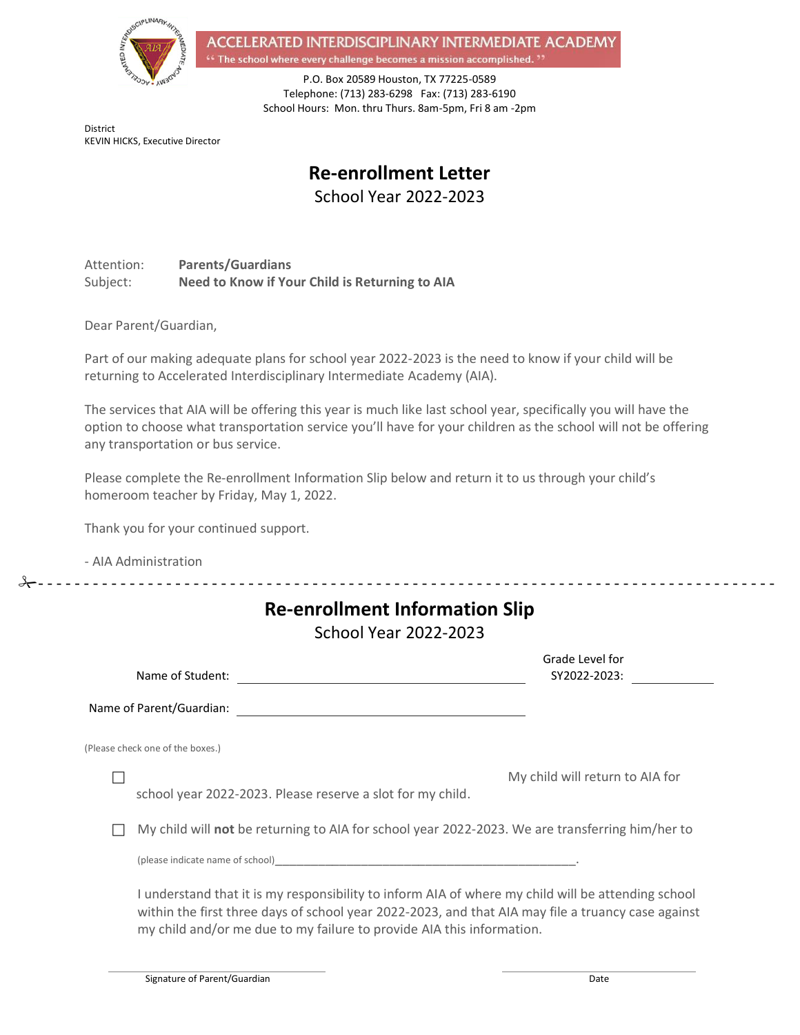

ACCELERATED INTERDISCIPLINARY INTERMEDIATE ACADEMY <sup>4</sup> The school where every challenge becomes a mission accomplished.<sup>99</sup>

> P.O. Box 20589 Houston, TX 77225-0589 Telephone: (713) 283-6298 Fax: (713) 283-6190 School Hours: Mon. thru Thurs. 8am-5pm, Fri 8 am -2pm

District KEVIN HICKS, Executive Director

# **Re-enrollment Letter**

School Year 2022-2023

Attention: **Parents/Guardians** Subject: **Need to Know if Your Child is Returning to AIA**

Dear Parent/Guardian,

Part of our making adequate plans for school year 2022-2023 is the need to know if your child will be returning to Accelerated Interdisciplinary Intermediate Academy (AIA).

The services that AIA will be offering this year is much like last school year, specifically you will have the option to choose what transportation service you'll have for your children as the school will not be offering any transportation or bus service.

Please complete the Re-enrollment Information Slip below and return it to us through your child's homeroom teacher by Friday, May 1, 2022.

- - - - - - - - - - - - - - - - - - - - - - - - - - - - - - - - - - - - - - - - - - - - - - - - - - - - - - - - - - - - - - - - - - - - - - - - - - - - - - - - -

Thank you for your continued support.

- AIA Administration

| <b>Re-enrollment Information Slip</b><br><b>School Year 2022-2023</b>                                                                                                                                                                                                             |                                 |
|-----------------------------------------------------------------------------------------------------------------------------------------------------------------------------------------------------------------------------------------------------------------------------------|---------------------------------|
| Name of Student:                                                                                                                                                                                                                                                                  | Grade Level for<br>SY2022-2023: |
| Name of Parent/Guardian:                                                                                                                                                                                                                                                          |                                 |
| (Please check one of the boxes.)                                                                                                                                                                                                                                                  |                                 |
| school year 2022-2023. Please reserve a slot for my child.                                                                                                                                                                                                                        | My child will return to AIA for |
| My child will not be returning to AIA for school year 2022-2023. We are transferring him/her to                                                                                                                                                                                   |                                 |
| (please indicate name of school) and the state of the state of the state of the state of the state of the state of the state of the state of the state of the state of the state of the state of the state of the state of the                                                    |                                 |
| I understand that it is my responsibility to inform AIA of where my child will be attending school<br>within the first three days of school year 2022-2023, and that AIA may file a truancy case against<br>my child and/or me due to my failure to provide AIA this information. |                                 |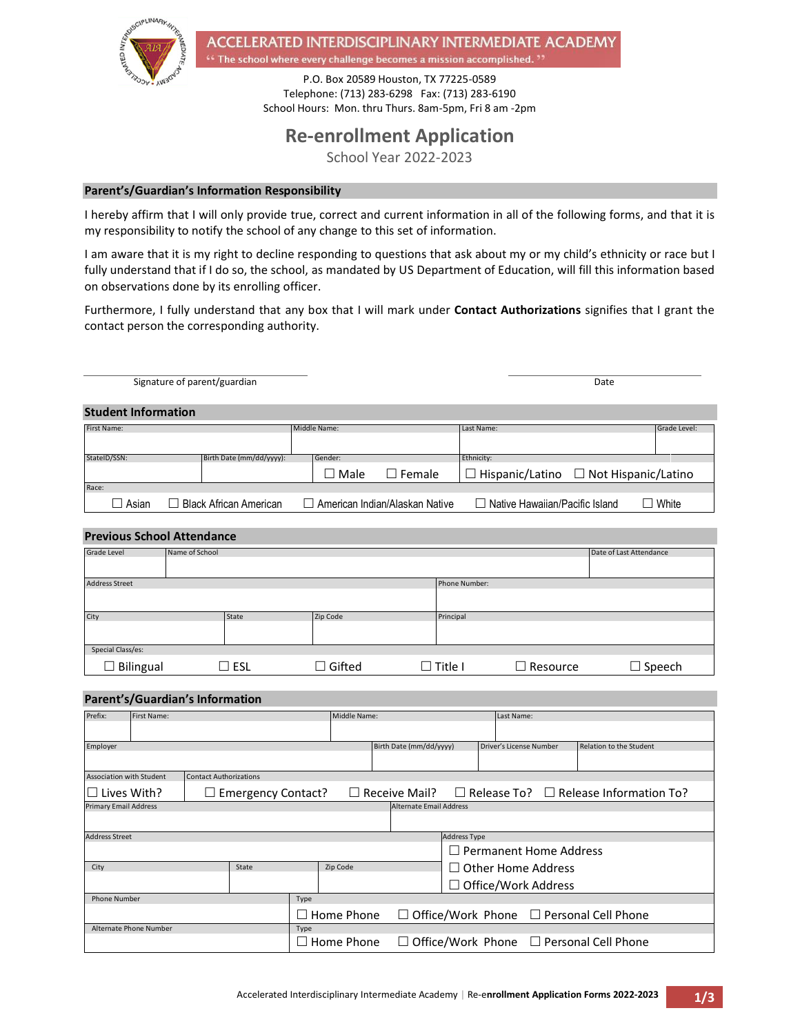

ACCELERATED INTERDISCIPLINARY INTERMEDIATE ACADEMY <sup>4</sup> The school where every challenge becomes a mission accomplished.<sup>22</sup>

> P.O. Box 20589 Houston, TX 77225-0589 Telephone: (713) 283-6298 Fax: (713) 283-6190 School Hours: Mon. thru Thurs. 8am-5pm, Fri 8 am -2pm

# **Re-enrollment Application**

School Year 2022-2023

#### **Parent's/Guardian's Information Responsibility**

I hereby affirm that I will only provide true, correct and current information in all of the following forms, and that it is my responsibility to notify the school of any change to this set of information.

I am aware that it is my right to decline responding to questions that ask about my or my child's ethnicity or race but I fully understand that if I do so, the school, as mandated by US Department of Education, will fill this information based on observations done by its enrolling officer.

Furthermore, I fully understand that any box that I will mark under **Contact Authorizations** signifies that I grant the contact person the corresponding authority.

|                            | Signature of parent/guardian  |              |                                  |            |                                       | Date                                              |              |
|----------------------------|-------------------------------|--------------|----------------------------------|------------|---------------------------------------|---------------------------------------------------|--------------|
| <b>Student Information</b> |                               |              |                                  |            |                                       |                                                   |              |
| First Name:                |                               | Middle Name: |                                  | Last Name: |                                       |                                                   | Grade Level: |
| StateID/SSN:               | Birth Date (mm/dd/yyyy):      | Gender:      |                                  | Ethnicity: |                                       |                                                   |              |
|                            |                               | $\Box$ Male  | $\Box$ Female                    |            |                                       | $\Box$ Hispanic/Latino $\Box$ Not Hispanic/Latino |              |
| Race:                      |                               |              |                                  |            |                                       |                                                   |              |
| ∐ Asian                    | <b>Black African American</b> |              | □ American Indian/Alaskan Native |            | $\Box$ Native Hawaiian/Pacific Island |                                                   | $\Box$ White |

#### **Previous School Attendance**

| <b>Grade Level</b>    | Name of School |       |               |                |           |                 | Date of Last Attendance |
|-----------------------|----------------|-------|---------------|----------------|-----------|-----------------|-------------------------|
|                       |                |       |               |                |           |                 |                         |
| <b>Address Street</b> | Phone Number:  |       |               |                |           |                 |                         |
|                       |                |       |               |                |           |                 |                         |
| City                  |                | State | Zip Code      |                | Principal |                 |                         |
|                       |                |       |               |                |           |                 |                         |
| Special Class/es:     |                |       |               |                |           |                 |                         |
| $\Box$ Bilingual      |                | ESL   | $\Box$ Gifted | $\Box$ Title I |           | $\Box$ Resource | $\Box$ Speech           |

#### **Parent's/Guardian's Information**

| Prefix:                      | First Name: |                               |                   | Middle Name:                                        |                            |                               | Last Name:                                                             |  |  |
|------------------------------|-------------|-------------------------------|-------------------|-----------------------------------------------------|----------------------------|-------------------------------|------------------------------------------------------------------------|--|--|
|                              |             |                               |                   |                                                     |                            |                               |                                                                        |  |  |
| Employer                     |             |                               |                   | Birth Date (mm/dd/yyyy)                             | Driver's License Number    |                               | Relation to the Student                                                |  |  |
|                              |             |                               |                   |                                                     |                            |                               |                                                                        |  |  |
| Association with Student     |             | <b>Contact Authorizations</b> |                   |                                                     |                            |                               |                                                                        |  |  |
|                              | Lives With? | $\Box$ Emergency Contact?     |                   |                                                     |                            |                               | $\Box$ Receive Mail? $\Box$ Release To? $\Box$ Release Information To? |  |  |
| <b>Primary Email Address</b> |             |                               |                   | <b>Alternate Email Address</b>                      |                            |                               |                                                                        |  |  |
|                              |             |                               |                   |                                                     |                            |                               |                                                                        |  |  |
| <b>Address Street</b>        |             |                               |                   | <b>Address Type</b>                                 |                            |                               |                                                                        |  |  |
|                              |             |                               |                   |                                                     |                            | $\Box$ Permanent Home Address |                                                                        |  |  |
| City                         |             | State                         | Zip Code          |                                                     |                            | $\Box$ Other Home Address     |                                                                        |  |  |
|                              |             |                               |                   |                                                     | $\Box$ Office/Work Address |                               |                                                                        |  |  |
| <b>Phone Number</b>          |             |                               | Type              |                                                     |                            |                               |                                                                        |  |  |
|                              |             |                               | Home Phone        | $\Box$ Office/Work Phone $\Box$ Personal Cell Phone |                            |                               |                                                                        |  |  |
| Alternate Phone Number       |             |                               | Type              |                                                     |                            |                               |                                                                        |  |  |
|                              |             |                               | $\Box$ Home Phone | $\Box$ Office/Work Phone $\Box$ Personal Cell Phone |                            |                               |                                                                        |  |  |